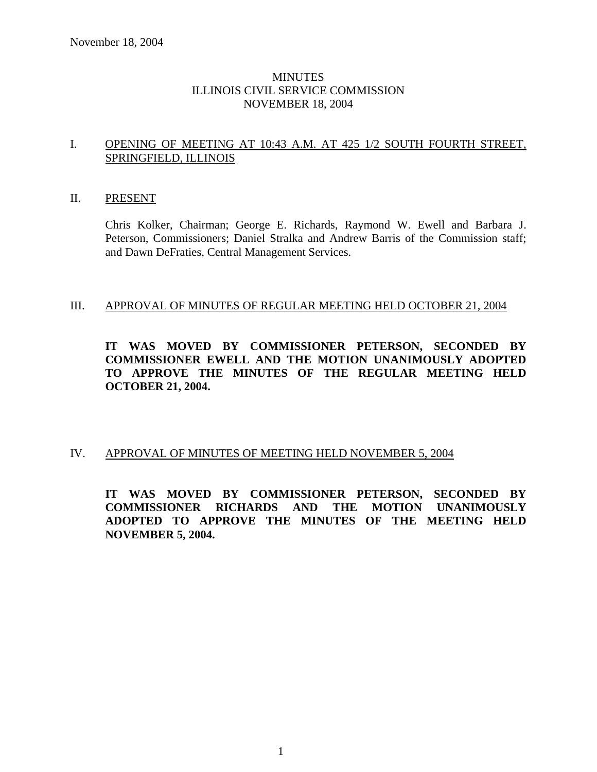# **MINUTES** ILLINOIS CIVIL SERVICE COMMISSION NOVEMBER 18, 2004

# I. OPENING OF MEETING AT 10:43 A.M. AT 425 1/2 SOUTH FOURTH STREET, SPRINGFIELD, ILLINOIS

## II. PRESENT

Chris Kolker, Chairman; George E. Richards, Raymond W. Ewell and Barbara J. Peterson, Commissioners; Daniel Stralka and Andrew Barris of the Commission staff; and Dawn DeFraties, Central Management Services.

#### III. APPROVAL OF MINUTES OF REGULAR MEETING HELD OCTOBER 21, 2004

# **IT WAS MOVED BY COMMISSIONER PETERSON, SECONDED BY COMMISSIONER EWELL AND THE MOTION UNANIMOUSLY ADOPTED TO APPROVE THE MINUTES OF THE REGULAR MEETING HELD OCTOBER 21, 2004.**

# IV. APPROVAL OF MINUTES OF MEETING HELD NOVEMBER 5, 2004

**IT WAS MOVED BY COMMISSIONER PETERSON, SECONDED BY COMMISSIONER RICHARDS AND THE MOTION UNANIMOUSLY ADOPTED TO APPROVE THE MINUTES OF THE MEETING HELD NOVEMBER 5, 2004.**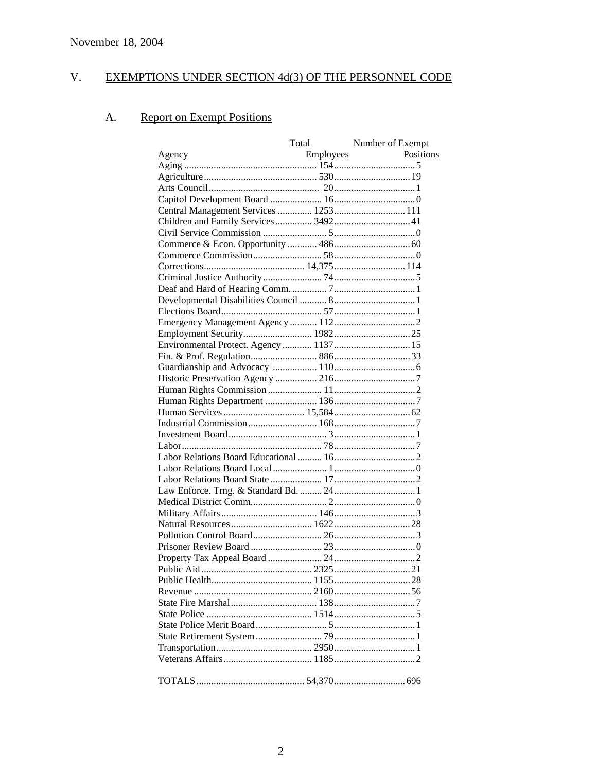#### V. EXEMPTIONS UNDER SECTION 4d(3) OF THE PERSONNEL CODE

#### **Report on Exempt Positions** A.

|                                       | Total            | Number of Exempt |
|---------------------------------------|------------------|------------------|
| <u>Agency</u>                         | <b>Employees</b> | Positions        |
|                                       |                  |                  |
|                                       |                  |                  |
|                                       |                  |                  |
|                                       |                  |                  |
| Central Management Services  1253 111 |                  |                  |
| Children and Family Services 3492 41  |                  |                  |
|                                       |                  |                  |
|                                       |                  |                  |
|                                       |                  |                  |
|                                       |                  |                  |
|                                       |                  |                  |
|                                       |                  |                  |
|                                       |                  |                  |
|                                       |                  |                  |
|                                       |                  |                  |
|                                       |                  |                  |
|                                       |                  |                  |
|                                       |                  |                  |
|                                       |                  |                  |
|                                       |                  |                  |
|                                       |                  |                  |
|                                       |                  |                  |
|                                       |                  |                  |
|                                       |                  |                  |
|                                       |                  |                  |
|                                       |                  |                  |
|                                       |                  |                  |
|                                       |                  |                  |
|                                       |                  |                  |
|                                       |                  |                  |
|                                       |                  |                  |
|                                       |                  |                  |
|                                       |                  |                  |
|                                       |                  |                  |
|                                       |                  |                  |
|                                       |                  |                  |
|                                       |                  |                  |
|                                       |                  |                  |
|                                       |                  |                  |
|                                       |                  |                  |
|                                       |                  |                  |
|                                       |                  |                  |
|                                       |                  |                  |
|                                       |                  |                  |
|                                       |                  |                  |
|                                       |                  |                  |
|                                       |                  |                  |
|                                       |                  |                  |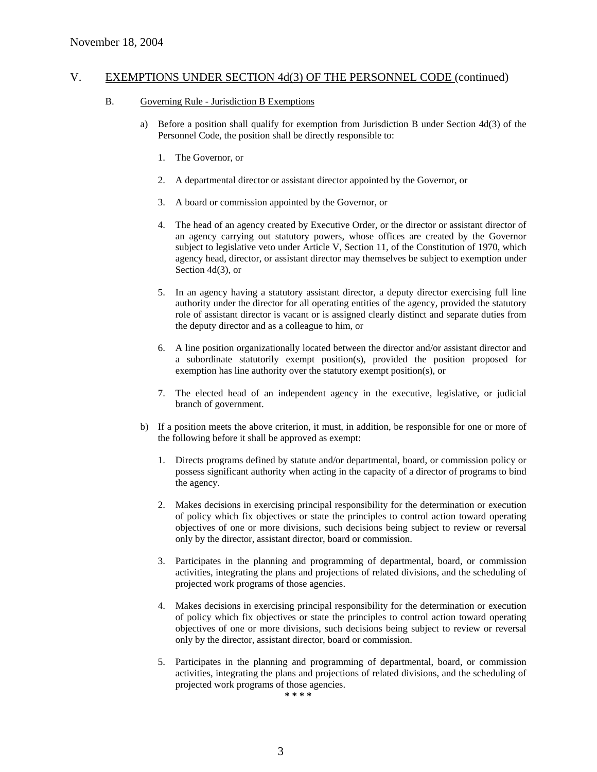#### B. Governing Rule - Jurisdiction B Exemptions

- a) Before a position shall qualify for exemption from Jurisdiction B under Section 4d(3) of the Personnel Code, the position shall be directly responsible to:
	- 1. The Governor, or
	- 2. A departmental director or assistant director appointed by the Governor, or
	- 3. A board or commission appointed by the Governor, or
	- 4. The head of an agency created by Executive Order, or the director or assistant director of an agency carrying out statutory powers, whose offices are created by the Governor subject to legislative veto under Article V, Section 11, of the Constitution of 1970, which agency head, director, or assistant director may themselves be subject to exemption under Section 4d(3), or
	- 5. In an agency having a statutory assistant director, a deputy director exercising full line authority under the director for all operating entities of the agency, provided the statutory role of assistant director is vacant or is assigned clearly distinct and separate duties from the deputy director and as a colleague to him, or
	- 6. A line position organizationally located between the director and/or assistant director and a subordinate statutorily exempt position(s), provided the position proposed for exemption has line authority over the statutory exempt position(s), or
	- 7. The elected head of an independent agency in the executive, legislative, or judicial branch of government.
- b) If a position meets the above criterion, it must, in addition, be responsible for one or more of the following before it shall be approved as exempt:
	- 1. Directs programs defined by statute and/or departmental, board, or commission policy or possess significant authority when acting in the capacity of a director of programs to bind the agency.
	- 2. Makes decisions in exercising principal responsibility for the determination or execution of policy which fix objectives or state the principles to control action toward operating objectives of one or more divisions, such decisions being subject to review or reversal only by the director, assistant director, board or commission.
	- 3. Participates in the planning and programming of departmental, board, or commission activities, integrating the plans and projections of related divisions, and the scheduling of projected work programs of those agencies.
	- 4. Makes decisions in exercising principal responsibility for the determination or execution of policy which fix objectives or state the principles to control action toward operating objectives of one or more divisions, such decisions being subject to review or reversal only by the director, assistant director, board or commission.
	- 5. Participates in the planning and programming of departmental, board, or commission activities, integrating the plans and projections of related divisions, and the scheduling of projected work programs of those agencies.

**\* \* \* \***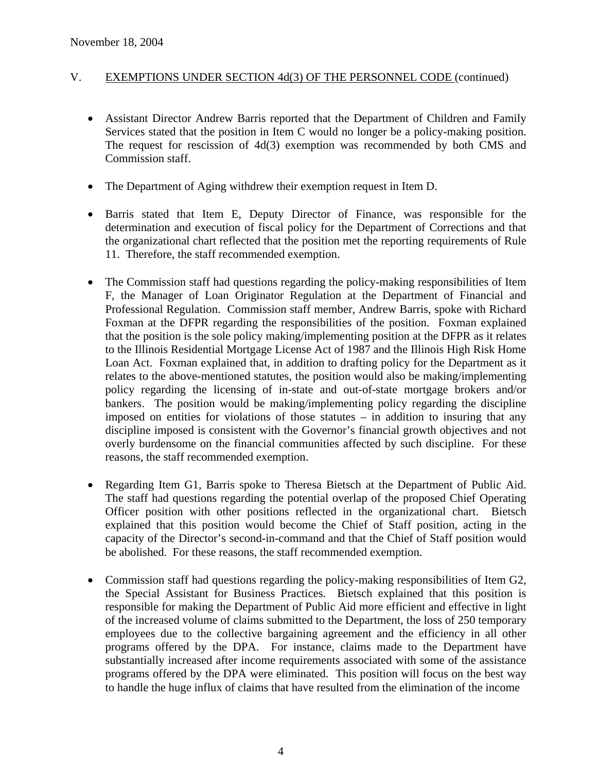- Assistant Director Andrew Barris reported that the Department of Children and Family Services stated that the position in Item C would no longer be a policy-making position. The request for rescission of 4d(3) exemption was recommended by both CMS and Commission staff.
- The Department of Aging withdrew their exemption request in Item D.
- Barris stated that Item E, Deputy Director of Finance, was responsible for the determination and execution of fiscal policy for the Department of Corrections and that the organizational chart reflected that the position met the reporting requirements of Rule 11. Therefore, the staff recommended exemption.
- The Commission staff had questions regarding the policy-making responsibilities of Item F, the Manager of Loan Originator Regulation at the Department of Financial and Professional Regulation. Commission staff member, Andrew Barris, spoke with Richard Foxman at the DFPR regarding the responsibilities of the position. Foxman explained that the position is the sole policy making/implementing position at the DFPR as it relates to the Illinois Residential Mortgage License Act of 1987 and the Illinois High Risk Home Loan Act. Foxman explained that, in addition to drafting policy for the Department as it relates to the above-mentioned statutes, the position would also be making/implementing policy regarding the licensing of in-state and out-of-state mortgage brokers and/or bankers. The position would be making/implementing policy regarding the discipline imposed on entities for violations of those statutes – in addition to insuring that any discipline imposed is consistent with the Governor's financial growth objectives and not overly burdensome on the financial communities affected by such discipline. For these reasons, the staff recommended exemption.
- Regarding Item G1, Barris spoke to Theresa Bietsch at the Department of Public Aid. The staff had questions regarding the potential overlap of the proposed Chief Operating Officer position with other positions reflected in the organizational chart. Bietsch explained that this position would become the Chief of Staff position, acting in the capacity of the Director's second-in-command and that the Chief of Staff position would be abolished. For these reasons, the staff recommended exemption.
- Commission staff had questions regarding the policy-making responsibilities of Item G2, the Special Assistant for Business Practices. Bietsch explained that this position is responsible for making the Department of Public Aid more efficient and effective in light of the increased volume of claims submitted to the Department, the loss of 250 temporary employees due to the collective bargaining agreement and the efficiency in all other programs offered by the DPA. For instance, claims made to the Department have substantially increased after income requirements associated with some of the assistance programs offered by the DPA were eliminated. This position will focus on the best way to handle the huge influx of claims that have resulted from the elimination of the income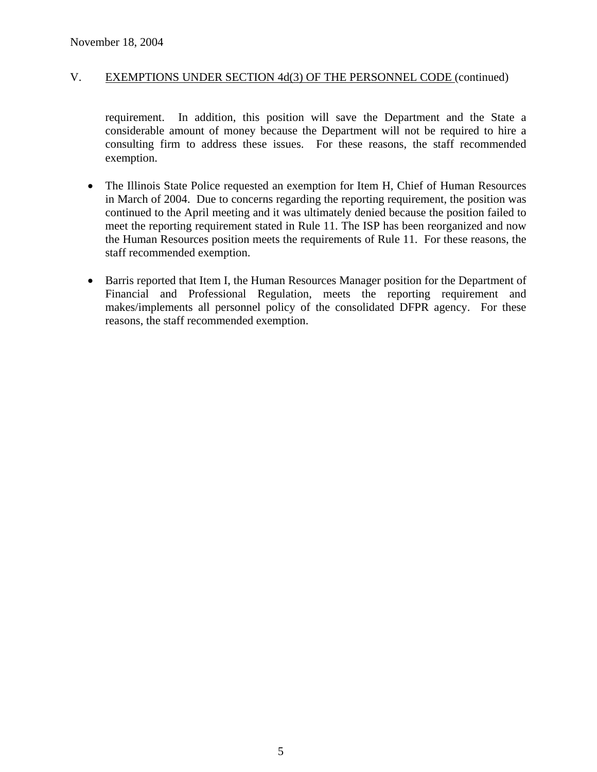requirement. In addition, this position will save the Department and the State a considerable amount of money because the Department will not be required to hire a consulting firm to address these issues. For these reasons, the staff recommended exemption.

- The Illinois State Police requested an exemption for Item H, Chief of Human Resources in March of 2004. Due to concerns regarding the reporting requirement, the position was continued to the April meeting and it was ultimately denied because the position failed to meet the reporting requirement stated in Rule 11. The ISP has been reorganized and now the Human Resources position meets the requirements of Rule 11. For these reasons, the staff recommended exemption.
- Barris reported that Item I, the Human Resources Manager position for the Department of Financial and Professional Regulation, meets the reporting requirement and makes/implements all personnel policy of the consolidated DFPR agency. For these reasons, the staff recommended exemption.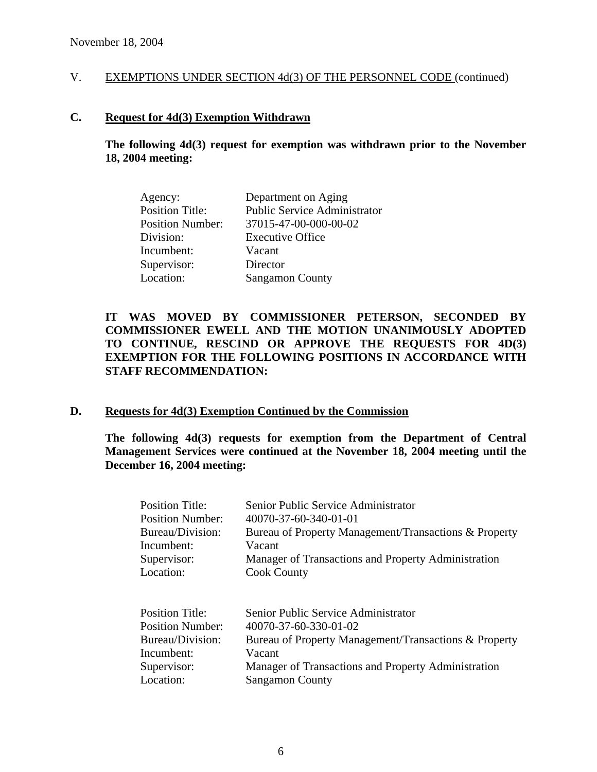#### **C. Request for 4d(3) Exemption Withdrawn**

**The following 4d(3) request for exemption was withdrawn prior to the November 18, 2004 meeting:** 

| Department on Aging                 |
|-------------------------------------|
| <b>Public Service Administrator</b> |
| 37015-47-00-000-00-02               |
| <b>Executive Office</b>             |
| Vacant                              |
| Director                            |
| <b>Sangamon County</b>              |
|                                     |

# **IT WAS MOVED BY COMMISSIONER PETERSON, SECONDED BY COMMISSIONER EWELL AND THE MOTION UNANIMOUSLY ADOPTED TO CONTINUE, RESCIND OR APPROVE THE REQUESTS FOR 4D(3) EXEMPTION FOR THE FOLLOWING POSITIONS IN ACCORDANCE WITH STAFF RECOMMENDATION:**

## **D. Requests for 4d(3) Exemption Continued by the Commission**

**The following 4d(3) requests for exemption from the Department of Central Management Services were continued at the November 18, 2004 meeting until the December 16, 2004 meeting:** 

| <b>Position Title:</b>  | Senior Public Service Administrator                   |
|-------------------------|-------------------------------------------------------|
| Position Number:        | 40070-37-60-340-01-01                                 |
| Bureau/Division:        | Bureau of Property Management/Transactions & Property |
| Incumbent:              | Vacant                                                |
| Supervisor:             | Manager of Transactions and Property Administration   |
| Location:               | <b>Cook County</b>                                    |
|                         |                                                       |
| <b>Position Title:</b>  | Senior Public Service Administrator                   |
| <b>Position Number:</b> | 40070-37-60-330-01-02                                 |
| Bureau/Division:        | Bureau of Property Management/Transactions & Property |
| Incumbent:              | Vacant                                                |
| Supervisor:             | Manager of Transactions and Property Administration   |
| Location:               | <b>Sangamon County</b>                                |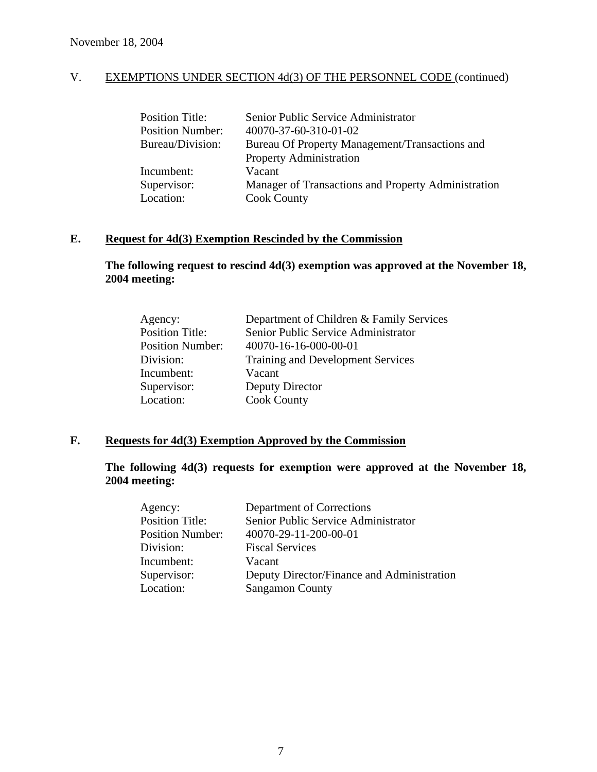| <b>Position Title:</b>  | Senior Public Service Administrator                 |
|-------------------------|-----------------------------------------------------|
| <b>Position Number:</b> | 40070-37-60-310-01-02                               |
| Bureau/Division:        | Bureau Of Property Management/Transactions and      |
|                         | <b>Property Administration</b>                      |
| Incumbent:              | Vacant                                              |
| Supervisor:             | Manager of Transactions and Property Administration |
| Location:               | <b>Cook County</b>                                  |

# **E. Request for 4d(3) Exemption Rescinded by the Commission**

**The following request to rescind 4d(3) exemption was approved at the November 18, 2004 meeting:** 

| Department of Children & Family Services |
|------------------------------------------|
| Senior Public Service Administrator      |
| 40070-16-16-000-00-01                    |
| <b>Training and Development Services</b> |
| Vacant                                   |
| Deputy Director                          |
| <b>Cook County</b>                       |
|                                          |

# **F. Requests for 4d(3) Exemption Approved by the Commission**

**The following 4d(3) requests for exemption were approved at the November 18, 2004 meeting:** 

| Agency:                 | Department of Corrections                  |
|-------------------------|--------------------------------------------|
| <b>Position Title:</b>  | Senior Public Service Administrator        |
| <b>Position Number:</b> | 40070-29-11-200-00-01                      |
| Division:               | <b>Fiscal Services</b>                     |
| Incumbent:              | Vacant                                     |
| Supervisor:             | Deputy Director/Finance and Administration |
| Location:               | <b>Sangamon County</b>                     |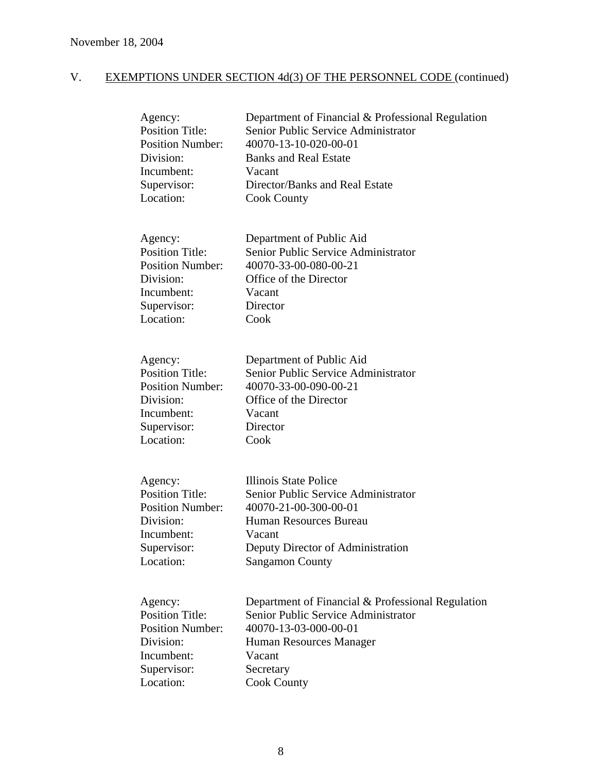| Agency:<br><b>Position Title:</b><br><b>Position Number:</b><br>Division:<br>Incumbent:<br>Supervisor:<br>Location: | Department of Financial & Professional Regulation<br>Senior Public Service Administrator<br>40070-13-10-020-00-01<br><b>Banks and Real Estate</b><br>Vacant<br>Director/Banks and Real Estate<br><b>Cook County</b> |
|---------------------------------------------------------------------------------------------------------------------|---------------------------------------------------------------------------------------------------------------------------------------------------------------------------------------------------------------------|
| Agency:<br><b>Position Title:</b><br><b>Position Number:</b><br>Division:<br>Incumbent:<br>Supervisor:<br>Location: | Department of Public Aid<br>Senior Public Service Administrator<br>40070-33-00-080-00-21<br>Office of the Director<br>Vacant<br>Director<br>Cook                                                                    |
| Agency:<br><b>Position Title:</b><br><b>Position Number:</b><br>Division:<br>Incumbent:<br>Supervisor:<br>Location: | Department of Public Aid<br>Senior Public Service Administrator<br>40070-33-00-090-00-21<br>Office of the Director<br>Vacant<br>Director<br>Cook                                                                    |
| Agency:<br><b>Position Title:</b><br><b>Position Number:</b><br>Division:<br>Incumbent:<br>Supervisor:<br>Location: | Illinois State Police<br>Senior Public Service Administrator<br>40070-21-00-300-00-01<br>Human Resources Bureau<br>Vacant<br>Deputy Director of Administration<br><b>Sangamon County</b>                            |
| Agency:<br><b>Position Title:</b><br><b>Position Number:</b><br>Division:<br>Incumbent:<br>Supervisor:<br>Location: | Department of Financial & Professional Regulation<br>Senior Public Service Administrator<br>40070-13-03-000-00-01<br>Human Resources Manager<br>Vacant<br>Secretary<br><b>Cook County</b>                           |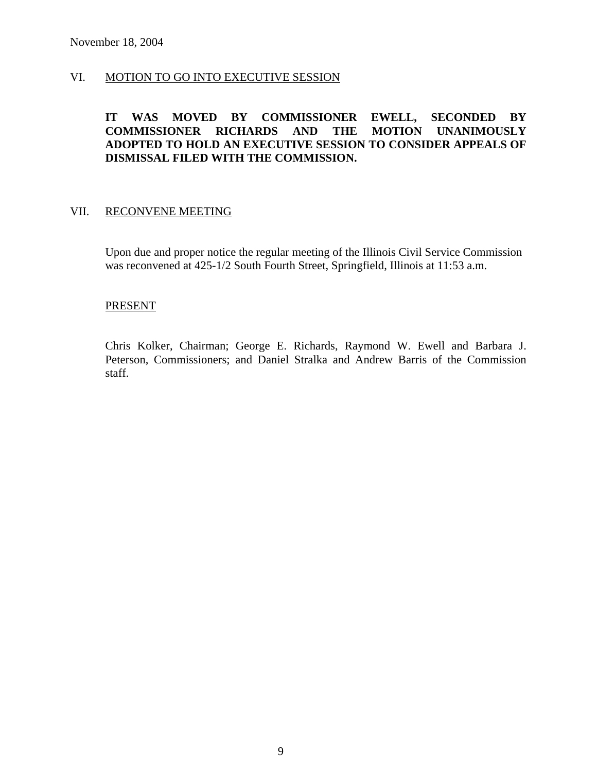# VI. MOTION TO GO INTO EXECUTIVE SESSION

# **IT WAS MOVED BY COMMISSIONER EWELL, SECONDED BY COMMISSIONER RICHARDS AND THE MOTION UNANIMOUSLY ADOPTED TO HOLD AN EXECUTIVE SESSION TO CONSIDER APPEALS OF DISMISSAL FILED WITH THE COMMISSION.**

#### VII. RECONVENE MEETING

Upon due and proper notice the regular meeting of the Illinois Civil Service Commission was reconvened at 425-1/2 South Fourth Street, Springfield, Illinois at 11:53 a.m.

#### **PRESENT**

Chris Kolker, Chairman; George E. Richards, Raymond W. Ewell and Barbara J. Peterson, Commissioners; and Daniel Stralka and Andrew Barris of the Commission staff.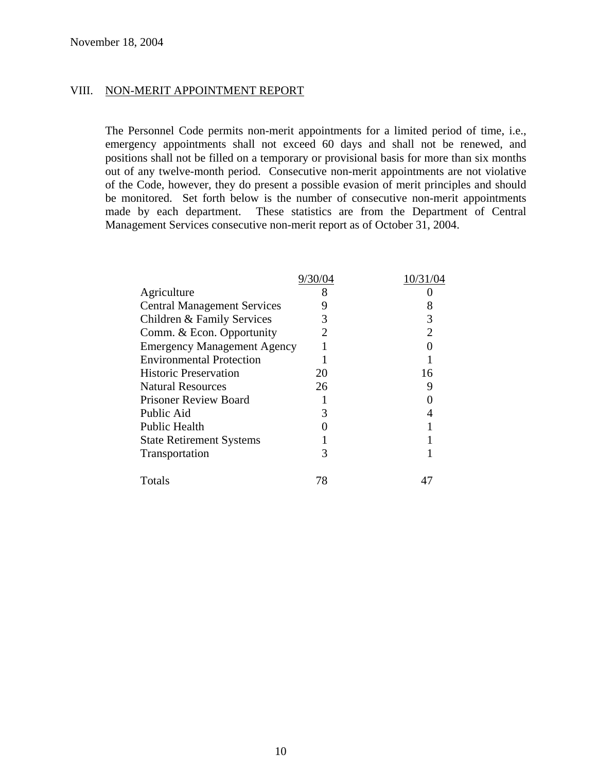#### VIII. NON-MERIT APPOINTMENT REPORT

The Personnel Code permits non-merit appointments for a limited period of time, i.e., emergency appointments shall not exceed 60 days and shall not be renewed, and positions shall not be filled on a temporary or provisional basis for more than six months out of any twelve-month period. Consecutive non-merit appointments are not violative of the Code, however, they do present a possible evasion of merit principles and should be monitored. Set forth below is the number of consecutive non-merit appointments made by each department. These statistics are from the Department of Central Management Services consecutive non-merit report as of October 31, 2004.

|                                    | 9/30/04 | 10/31/ |
|------------------------------------|---------|--------|
| Agriculture                        | 8       |        |
| <b>Central Management Services</b> |         |        |
| Children & Family Services         |         |        |
| Comm. & Econ. Opportunity          |         |        |
| <b>Emergency Management Agency</b> |         |        |
| <b>Environmental Protection</b>    |         |        |
| <b>Historic Preservation</b>       | 20      | 16     |
| <b>Natural Resources</b>           | 26      |        |
| <b>Prisoner Review Board</b>       |         |        |
| Public Aid                         |         |        |
| Public Health                      |         |        |
| <b>State Retirement Systems</b>    |         |        |
| Transportation                     | 3       |        |
| Totals                             | 78      |        |
|                                    |         |        |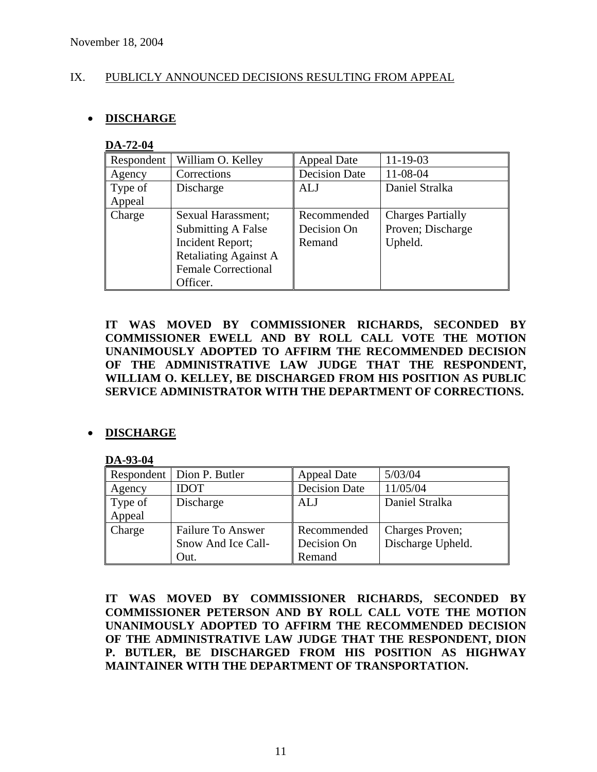# IX. PUBLICLY ANNOUNCED DECISIONS RESULTING FROM APPEAL

# • **DISCHARGE**

#### **DA-72-04**

| Respondent | William O. Kelley            | <b>Appeal Date</b>   | $11 - 19 - 03$           |
|------------|------------------------------|----------------------|--------------------------|
| Agency     | Corrections                  | <b>Decision Date</b> | 11-08-04                 |
| Type of    | Discharge                    | <b>ALJ</b>           | Daniel Stralka           |
| Appeal     |                              |                      |                          |
| Charge     | Sexual Harassment;           | Recommended          | <b>Charges Partially</b> |
|            | <b>Submitting A False</b>    | Decision On          | Proven; Discharge        |
|            | Incident Report;             | Remand               | Upheld.                  |
|            | <b>Retaliating Against A</b> |                      |                          |
|            | <b>Female Correctional</b>   |                      |                          |
|            | Officer.                     |                      |                          |

**IT WAS MOVED BY COMMISSIONER RICHARDS, SECONDED BY COMMISSIONER EWELL AND BY ROLL CALL VOTE THE MOTION UNANIMOUSLY ADOPTED TO AFFIRM THE RECOMMENDED DECISION OF THE ADMINISTRATIVE LAW JUDGE THAT THE RESPONDENT, WILLIAM O. KELLEY, BE DISCHARGED FROM HIS POSITION AS PUBLIC SERVICE ADMINISTRATOR WITH THE DEPARTMENT OF CORRECTIONS.** 

# • **DISCHARGE**

#### **DA-93-04**

|         | Respondent   Dion P. Butler | Appeal Date          | 5/03/04           |
|---------|-----------------------------|----------------------|-------------------|
| Agency  | <b>IDOT</b>                 | <b>Decision Date</b> | 11/05/04          |
| Type of | Discharge                   | ALJ                  | Daniel Stralka    |
| Appeal  |                             |                      |                   |
| Charge  | <b>Failure To Answer</b>    | Recommended          | Charges Proven;   |
|         | Snow And Ice Call-          | Decision On          | Discharge Upheld. |
|         | Out.                        | Remand               |                   |

**IT WAS MOVED BY COMMISSIONER RICHARDS, SECONDED BY COMMISSIONER PETERSON AND BY ROLL CALL VOTE THE MOTION UNANIMOUSLY ADOPTED TO AFFIRM THE RECOMMENDED DECISION OF THE ADMINISTRATIVE LAW JUDGE THAT THE RESPONDENT, DION P. BUTLER, BE DISCHARGED FROM HIS POSITION AS HIGHWAY MAINTAINER WITH THE DEPARTMENT OF TRANSPORTATION.**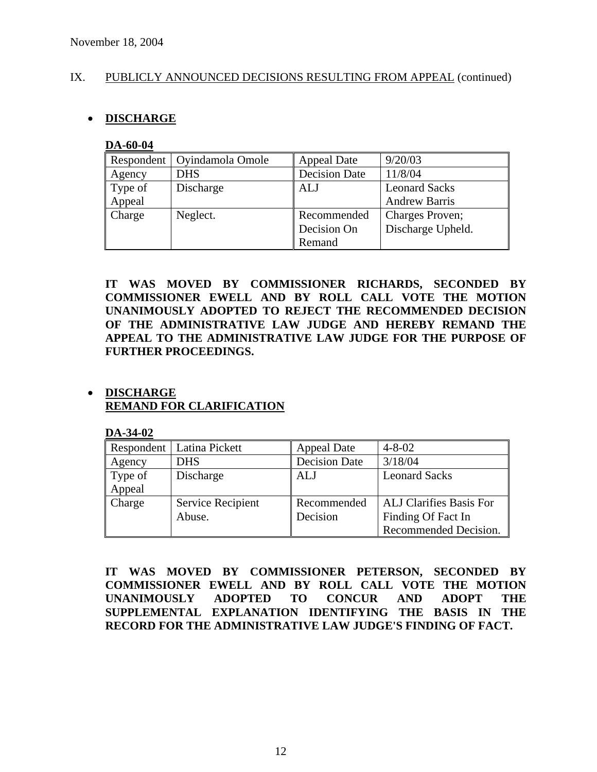# IX. PUBLICLY ANNOUNCED DECISIONS RESULTING FROM APPEAL (continued)

# • **DISCHARGE**

#### **DA-60-04**

| Respondent | Oyindamola Omole | Appeal Date          | 9/20/03              |
|------------|------------------|----------------------|----------------------|
| Agency     | <b>DHS</b>       | <b>Decision Date</b> | 11/8/04              |
| Type of    | Discharge        | <b>ALJ</b>           | <b>Leonard Sacks</b> |
| Appeal     |                  |                      | <b>Andrew Barris</b> |
| Charge     | Neglect.         | Recommended          | Charges Proven;      |
|            |                  | Decision On          | Discharge Upheld.    |
|            |                  | Remand               |                      |

**IT WAS MOVED BY COMMISSIONER RICHARDS, SECONDED BY COMMISSIONER EWELL AND BY ROLL CALL VOTE THE MOTION UNANIMOUSLY ADOPTED TO REJECT THE RECOMMENDED DECISION OF THE ADMINISTRATIVE LAW JUDGE AND HEREBY REMAND THE APPEAL TO THE ADMINISTRATIVE LAW JUDGE FOR THE PURPOSE OF FURTHER PROCEEDINGS.** 

# • **DISCHARGE REMAND FOR CLARIFICATION**

**DA-34-02**

|         | Respondent   Latina Pickett | <b>Appeal Date</b>   | $4 - 8 - 02$                   |
|---------|-----------------------------|----------------------|--------------------------------|
| Agency  | <b>DHS</b>                  | <b>Decision Date</b> | 3/18/04                        |
| Type of | Discharge                   | ALJ                  | <b>Leonard Sacks</b>           |
| Appeal  |                             |                      |                                |
| Charge  | Service Recipient           | Recommended          | <b>ALJ Clarifies Basis For</b> |
|         | Abuse.                      | Decision             | Finding Of Fact In             |
|         |                             |                      | Recommended Decision.          |

**IT WAS MOVED BY COMMISSIONER PETERSON, SECONDED BY COMMISSIONER EWELL AND BY ROLL CALL VOTE THE MOTION UNANIMOUSLY ADOPTED TO CONCUR AND ADOPT THE SUPPLEMENTAL EXPLANATION IDENTIFYING THE BASIS IN THE RECORD FOR THE ADMINISTRATIVE LAW JUDGE'S FINDING OF FACT.**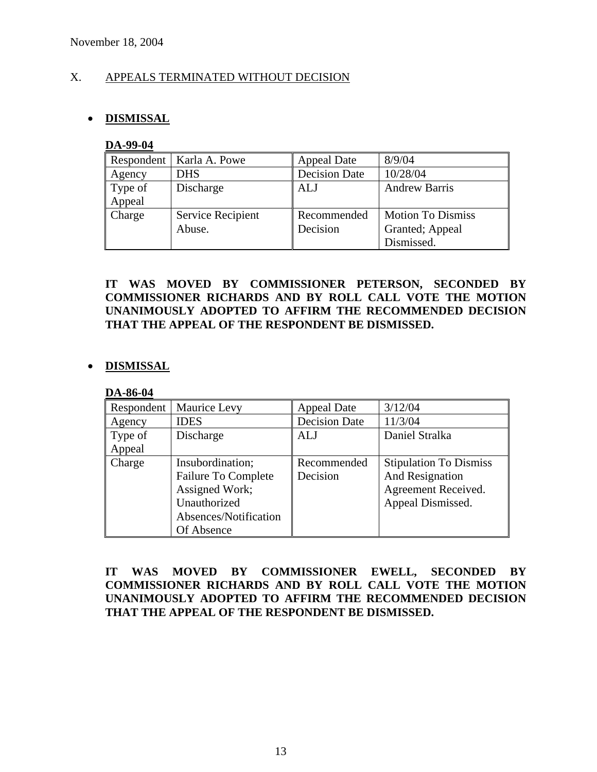# X. APPEALS TERMINATED WITHOUT DECISION

# • **DISMISSAL**

#### **DA-99-04**

|         | Respondent   Karla A. Powe | Appeal Date          | 8/9/04                   |
|---------|----------------------------|----------------------|--------------------------|
| Agency  | <b>DHS</b>                 | <b>Decision Date</b> | 10/28/04                 |
| Type of | Discharge                  | ALJ                  | <b>Andrew Barris</b>     |
| Appeal  |                            |                      |                          |
| Charge  | Service Recipient          | Recommended          | <b>Motion To Dismiss</b> |
|         | Abuse.                     | Decision             | Granted; Appeal          |
|         |                            |                      | Dismissed.               |

# **IT WAS MOVED BY COMMISSIONER PETERSON, SECONDED BY COMMISSIONER RICHARDS AND BY ROLL CALL VOTE THE MOTION UNANIMOUSLY ADOPTED TO AFFIRM THE RECOMMENDED DECISION THAT THE APPEAL OF THE RESPONDENT BE DISMISSED.**

# • **DISMISSAL**

#### **DA-86-04**

| Respondent | Maurice Levy               | <b>Appeal Date</b>   | 3/12/04                       |
|------------|----------------------------|----------------------|-------------------------------|
| Agency     | <b>IDES</b>                | <b>Decision Date</b> | 11/3/04                       |
| Type of    | Discharge                  | ALJ                  | Daniel Stralka                |
| Appeal     |                            |                      |                               |
| Charge     | Insubordination;           | Recommended          | <b>Stipulation To Dismiss</b> |
|            | <b>Failure To Complete</b> | Decision             | And Resignation               |
|            | Assigned Work;             |                      | Agreement Received.           |
|            | Unauthorized               |                      | Appeal Dismissed.             |
|            | Absences/Notification      |                      |                               |
|            | Of Absence                 |                      |                               |

# **IT WAS MOVED BY COMMISSIONER EWELL, SECONDED BY COMMISSIONER RICHARDS AND BY ROLL CALL VOTE THE MOTION UNANIMOUSLY ADOPTED TO AFFIRM THE RECOMMENDED DECISION THAT THE APPEAL OF THE RESPONDENT BE DISMISSED.**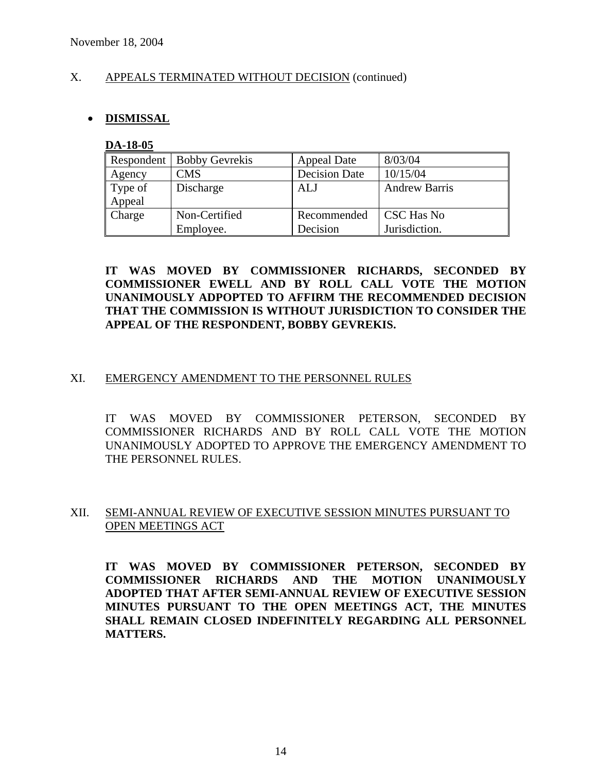# X. APPEALS TERMINATED WITHOUT DECISION (continued)

# • **DISMISSAL**

#### **DA-18-05**

| Respondent | <b>Bobby Gevrekis</b> | <b>Appeal Date</b>   | 8/03/04              |
|------------|-----------------------|----------------------|----------------------|
| Agency     | CMS                   | <b>Decision Date</b> | 10/15/04             |
| Type of    | Discharge             | <b>ALJ</b>           | <b>Andrew Barris</b> |
| Appeal     |                       |                      |                      |
| Charge     | Non-Certified         | Recommended          | CSC Has No           |
|            | Employee.             | Decision             | Jurisdiction.        |

# **IT WAS MOVED BY COMMISSIONER RICHARDS, SECONDED BY COMMISSIONER EWELL AND BY ROLL CALL VOTE THE MOTION UNANIMOUSLY ADPOPTED TO AFFIRM THE RECOMMENDED DECISION THAT THE COMMISSION IS WITHOUT JURISDICTION TO CONSIDER THE APPEAL OF THE RESPONDENT, BOBBY GEVREKIS.**

# XI. EMERGENCY AMENDMENT TO THE PERSONNEL RULES

IT WAS MOVED BY COMMISSIONER PETERSON, SECONDED BY COMMISSIONER RICHARDS AND BY ROLL CALL VOTE THE MOTION UNANIMOUSLY ADOPTED TO APPROVE THE EMERGENCY AMENDMENT TO THE PERSONNEL RULES.

# XII. SEMI-ANNUAL REVIEW OF EXECUTIVE SESSION MINUTES PURSUANT TO OPEN MEETINGS ACT

**IT WAS MOVED BY COMMISSIONER PETERSON, SECONDED BY COMMISSIONER RICHARDS AND THE MOTION UNANIMOUSLY ADOPTED THAT AFTER SEMI-ANNUAL REVIEW OF EXECUTIVE SESSION MINUTES PURSUANT TO THE OPEN MEETINGS ACT, THE MINUTES SHALL REMAIN CLOSED INDEFINITELY REGARDING ALL PERSONNEL MATTERS.**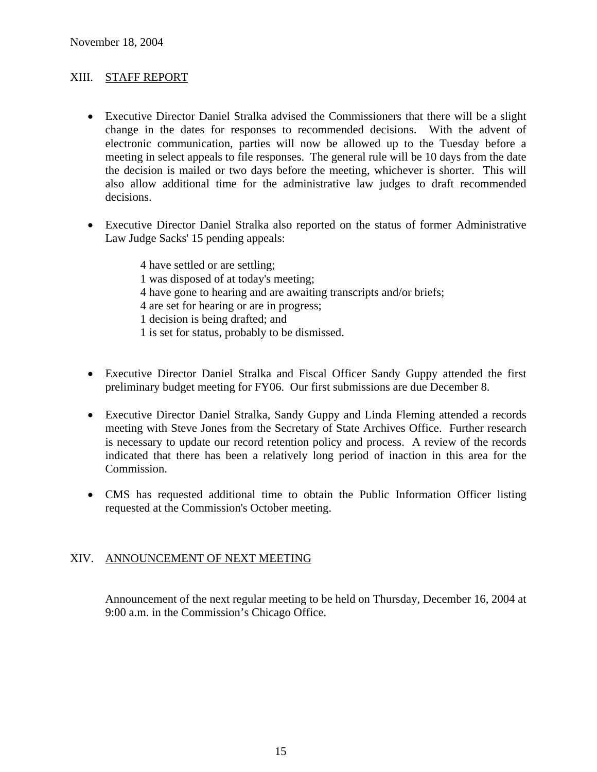# XIII. STAFF REPORT

- Executive Director Daniel Stralka advised the Commissioners that there will be a slight change in the dates for responses to recommended decisions. With the advent of electronic communication, parties will now be allowed up to the Tuesday before a meeting in select appeals to file responses. The general rule will be 10 days from the date the decision is mailed or two days before the meeting, whichever is shorter. This will also allow additional time for the administrative law judges to draft recommended decisions.
- Executive Director Daniel Stralka also reported on the status of former Administrative Law Judge Sacks' 15 pending appeals:

 4 have settled or are settling; 1 was disposed of at today's meeting; 4 have gone to hearing and are awaiting transcripts and/or briefs; 4 are set for hearing or are in progress; 1 decision is being drafted; and 1 is set for status, probably to be dismissed.

- Executive Director Daniel Stralka and Fiscal Officer Sandy Guppy attended the first preliminary budget meeting for FY06. Our first submissions are due December 8.
- Executive Director Daniel Stralka, Sandy Guppy and Linda Fleming attended a records meeting with Steve Jones from the Secretary of State Archives Office. Further research is necessary to update our record retention policy and process. A review of the records indicated that there has been a relatively long period of inaction in this area for the Commission.
- CMS has requested additional time to obtain the Public Information Officer listing requested at the Commission's October meeting.

# XIV. ANNOUNCEMENT OF NEXT MEETING

Announcement of the next regular meeting to be held on Thursday, December 16, 2004 at 9:00 a.m. in the Commission's Chicago Office.